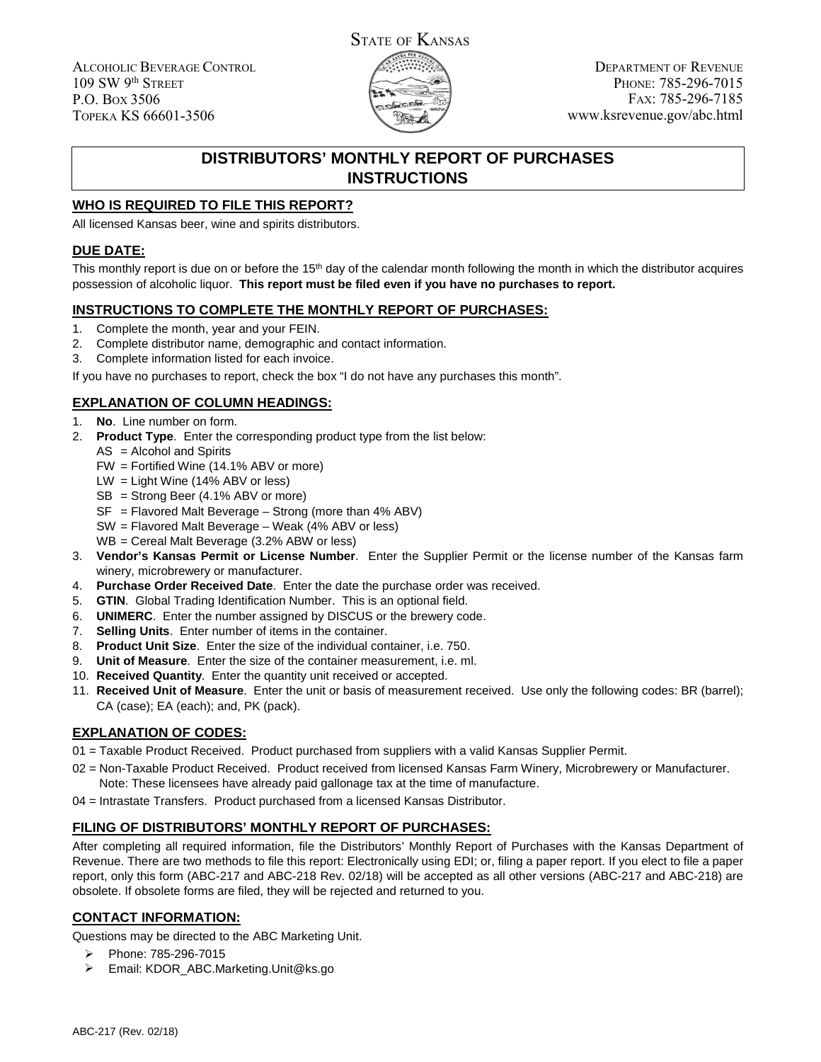ALCOHOLIC BEVERAGE CONTROL 109 SW 9th STREET P.O. BOX 3506 TOPEKA KS 66601-3506



DEPARTMENT OF REVENUE PHONE: 785-296-7015 FAX: 785-296-7185 www.ksrevenue.gov/abc.html

# **DISTRIBUTORS' MONTHLY REPORT OF PURCHASES INSTRUCTIONS**

## **WHO IS REQUIRED TO FILE THIS REPORT?**

All licensed Kansas beer, wine and spirits distributors.

#### **DUE DATE:**

This monthly report is due on or before the  $15<sup>th</sup>$  day of the calendar month following the month in which the distributor acquires possession of alcoholic liquor. **This report must be filed even if you have no purchases to report.**

### **INSTRUCTIONS TO COMPLETE THE MONTHLY REPORT OF PURCHASES:**

- 1. Complete the month, year and your FEIN.
- 2. Complete distributor name, demographic and contact information.
- 3. Complete information listed for each invoice.

If you have no purchases to report, check the box "I do not have any purchases this month".

### **EXPLANATION OF COLUMN HEADINGS:**

- 1. **No**. Line number on form.
- 2. **Product Type**. Enter the corresponding product type from the list below:
	- AS = Alcohol and Spirits
	- FW = Fortified Wine (14.1% ABV or more)
	- LW = Light Wine (14% ABV or less)
	- SB = Strong Beer (4.1% ABV or more)
	- SF = Flavored Malt Beverage Strong (more than 4% ABV)
	- SW = Flavored Malt Beverage Weak (4% ABV or less)
	- WB = Cereal Malt Beverage (3.2% ABW or less)
- 3. **Vendor's Kansas Permit or License Number**. Enter the Supplier Permit or the license number of the Kansas farm winery, microbrewery or manufacturer.
- 4. **Purchase Order Received Date**. Enter the date the purchase order was received.
- 5. **GTIN**. Global Trading Identification Number. This is an optional field.
- 6. **UNIMERC**. Enter the number assigned by DISCUS or the brewery code.
- 7. **Selling Units**. Enter number of items in the container.
- 8. **Product Unit Size**. Enter the size of the individual container, i.e. 750.
- 9. **Unit of Measure**. Enter the size of the container measurement, i.e. ml.
- 10. **Received Quantity**. Enter the quantity unit received or accepted.
- 11. **Received Unit of Measure**. Enter the unit or basis of measurement received. Use only the following codes: BR (barrel); CA (case); EA (each); and, PK (pack).

#### **EXPLANATION OF CODES:**

- 01 = Taxable Product Received. Product purchased from suppliers with a valid Kansas Supplier Permit.
- 02 = Non-Taxable Product Received. Product received from licensed Kansas Farm Winery, Microbrewery or Manufacturer.
	- Note: These licensees have already paid gallonage tax at the time of manufacture.
- 04 = Intrastate Transfers. Product purchased from a licensed Kansas Distributor.

#### **FILING OF DISTRIBUTORS' MONTHLY REPORT OF PURCHASES:**

After completing all required information, file the Distributors' Monthly Report of Purchases with the Kansas Department of Revenue. There are two methods to file this report: Electronically using EDI; or, filing a paper report. If you elect to file a paper report, only this form (ABC-217 and ABC-218 Rev. 02/18) will be accepted as all other versions (ABC-217 and ABC-218) are obsolete. If obsolete forms are filed, they will be rejected and returned to you.

### **CONTACT INFORMATION:**

Questions may be directed to the ABC Marketing Unit.

- ➤ Phone: 785-296-7015
- $\blacktriangleright$ Email: KDOR\_ABC.Marketing.Unit@ks.go